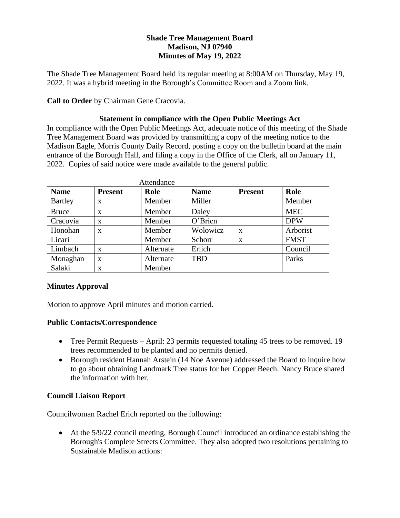# **Shade Tree Management Board Madison, NJ 07940 Minutes of May 19, 2022**

The Shade Tree Management Board held its regular meeting at 8:00AM on Thursday, May 19, 2022. It was a hybrid meeting in the Borough's Committee Room and a Zoom link.

**Call to Order** by Chairman Gene Cracovia.

# **Statement in compliance with the Open Public Meetings Act**

In compliance with the Open Public Meetings Act, adequate notice of this meeting of the Shade Tree Management Board was provided by transmitting a copy of the meeting notice to the Madison Eagle, Morris County Daily Record, posting a copy on the bulletin board at the main entrance of the Borough Hall, and filing a copy in the Office of the Clerk, all on January 11, 2022. Copies of said notice were made available to the general public.

| Attendance     |                |           |             |                |             |
|----------------|----------------|-----------|-------------|----------------|-------------|
| <b>Name</b>    | <b>Present</b> | Role      | <b>Name</b> | <b>Present</b> | Role        |
| <b>Bartley</b> | $\mathbf{x}$   | Member    | Miller      |                | Member      |
| <b>Bruce</b>   | X              | Member    | Daley       |                | <b>MEC</b>  |
| Cracovia       | $\mathbf{x}$   | Member    | O'Brien     |                | <b>DPW</b>  |
| Honohan        | X              | Member    | Wolowicz    | X              | Arborist    |
| Licari         |                | Member    | Schorr      | X              | <b>FMST</b> |
| Limbach        | $\mathbf{x}$   | Alternate | Erlich      |                | Council     |
| Monaghan       | $\mathbf{x}$   | Alternate | <b>TBD</b>  |                | Parks       |
| Salaki         | X              | Member    |             |                |             |

## **Minutes Approval**

Motion to approve April minutes and motion carried.

## **Public Contacts/Correspondence**

- Tree Permit Requests April: 23 permits requested totaling 45 trees to be removed. 19 trees recommended to be planted and no permits denied.
- Borough resident Hannah Arstein (14 Noe Avenue) addressed the Board to inquire how to go about obtaining Landmark Tree status for her Copper Beech. Nancy Bruce shared the information with her.

# **Council Liaison Report**

Councilwoman Rachel Erich reported on the following:

• At the 5/9/22 council meeting, Borough Council introduced an ordinance establishing the Borough's Complete Streets Committee. They also adopted two resolutions pertaining to Sustainable Madison actions: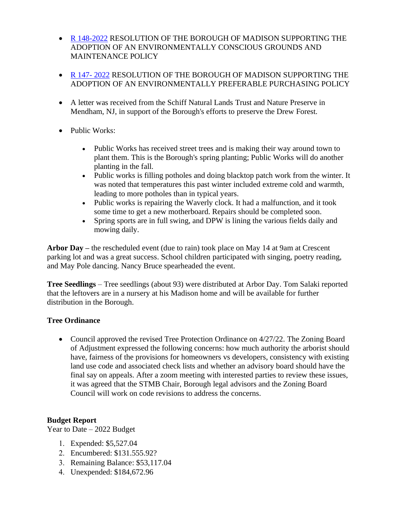- [R 148-2022](https://www.rosenet.org/DocumentCenter/View/15527/R-148-2022-ENVIRONMENTALLY-PREFERABLE-PURCHASING-POLICY-FOR-ALL-GOVERNMENT-AGENCIES-2) RESOLUTION OF THE BOROUGH OF MADISON SUPPORTING THE ADOPTION OF AN ENVIRONMENTALLY CONSCIOUS GROUNDS AND MAINTENANCE POLICY
- [R 147-](https://www.rosenet.org/DocumentCenter/View/15528/R-147-2022-ENVIRONMENTALLY-PREFERABLE-PURCHASING-POLICY-FOR-ALL-GOVERNMENT-AGENCIES-1)2022 RESOLUTION OF THE BOROUGH OF MADISON SUPPORTING THE ADOPTION OF AN ENVIRONMENTALLY PREFERABLE PURCHASING POLICY
- A letter was received from the Schiff Natural Lands Trust and Nature Preserve in Mendham, NJ, in support of the Borough's efforts to preserve the Drew Forest.
- Public Works:
	- Public Works has received street trees and is making their way around town to plant them. This is the Borough's spring planting; Public Works will do another planting in the fall.
	- Public works is filling potholes and doing blacktop patch work from the winter. It was noted that temperatures this past winter included extreme cold and warmth, leading to more potholes than in typical years.
	- Public works is repairing the Waverly clock. It had a malfunction, and it took some time to get a new motherboard. Repairs should be completed soon.
	- Spring sports are in full swing, and DPW is lining the various fields daily and mowing daily.

**Arbor Day –** the rescheduled event (due to rain) took place on May 14 at 9am at Crescent parking lot and was a great success. School children participated with singing, poetry reading, and May Pole dancing. Nancy Bruce spearheaded the event.

**Tree Seedlings** – Tree seedlings (about 93) were distributed at Arbor Day. Tom Salaki reported that the leftovers are in a nursery at his Madison home and will be available for further distribution in the Borough.

# **Tree Ordinance**

• Council approved the revised Tree Protection Ordinance on 4/27/22. The Zoning Board of Adjustment expressed the following concerns: how much authority the arborist should have, fairness of the provisions for homeowners vs developers, consistency with existing land use code and associated check lists and whether an advisory board should have the final say on appeals. After a zoom meeting with interested parties to review these issues, it was agreed that the STMB Chair, Borough legal advisors and the Zoning Board Council will work on code revisions to address the concerns.

# **Budget Report**

Year to Date – 2022 Budget

- Expended: \$5,527.04
- Encumbered: \$131.555.92?
- Remaining Balance: \$53,117.04
- Unexpended: \$184,672.96